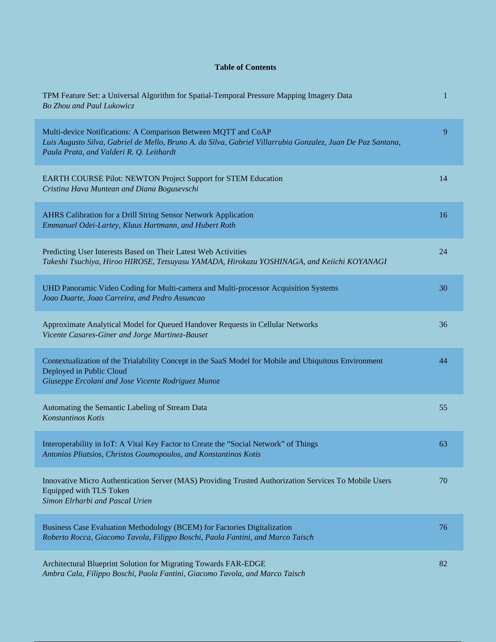## **Table of Contents**

| TPM Feature Set: a Universal Algorithm for Spatial-Temporal Pressure Mapping Imagery Data<br>Bo Zhou and Paul Lukowicz                                                                                                    |    |
|---------------------------------------------------------------------------------------------------------------------------------------------------------------------------------------------------------------------------|----|
| Multi-device Notifications: A Comparison Between MQTT and CoAP<br>Luis Augusto Silva, Gabriel de Mello, Bruno A. da Silva, Gabriel Villarrubia Gonzalez, Juan De Paz Santana,<br>Paula Prata, and Valderi R. Q. Leithardt | 9  |
| EARTH COURSE Pilot: NEWTON Project Support for STEM Education<br>Cristina Hava Muntean and Diana Bogusevschi                                                                                                              | 14 |
| AHRS Calibration for a Drill String Sensor Network Application<br>Emmanuel Odei-Lartey, Klaus Hartmann, and Hubert Roth                                                                                                   | 16 |
| Predicting User Interests Based on Their Latest Web Activities<br>Takeshi Tsuchiya, Hiroo HIROSE, Tetsuyasu YAMADA, Hirokazu YOSHINAGA, and Keiichi KOYANAGI                                                              | 24 |
| UHD Panoramic Video Coding for Multi-camera and Multi-processor Acquisition Systems<br>Joao Duarte, Joao Carreira, and Pedro Assuncao                                                                                     | 30 |
| Approximate Analytical Model for Queued Handover Requests in Cellular Networks<br>Vicente Casares-Giner and Jorge Martinez-Bauset                                                                                         | 36 |
| Contextualization of the Trialability Concept in the SaaS Model for Mobile and Ubiquitous Environment<br>Deployed in Public Cloud<br>Giuseppe Ercolani and Jose Vicente Rodriguez Munoz                                   | 44 |
| Automating the Semantic Labeling of Stream Data<br>Konstantinos Kotis                                                                                                                                                     | 55 |
| Interoperability in IoT: A Vital Key Factor to Create the "Social Network" of Things<br>Antonios Pliatsios, Christos Goumopoulos, and Konstantinos Kotis                                                                  | 63 |
| Innovative Micro Authentication Server (MAS) Providing Trusted Authorization Services To Mobile Users<br>Equipped with TLS Token<br>Simon Elrharbi and Pascal Urien                                                       | 70 |
| Business Case Evaluation Methodology (BCEM) for Factories Digitalization<br>Roberto Rocca, Giacomo Tavola, Filippo Boschi, Paola Fantini, and Marco Taisch                                                                | 76 |
| Architectural Blueprint Solution for Migrating Towards FAR-EDGE<br>$1.1 \cdot D = I - E = \dots \cdot C$                                                                                                                  | 82 |

*Ambra Cala, Filippo Boschi, Paola Fantini, Giacomo Tavola, and Marco Taisch*